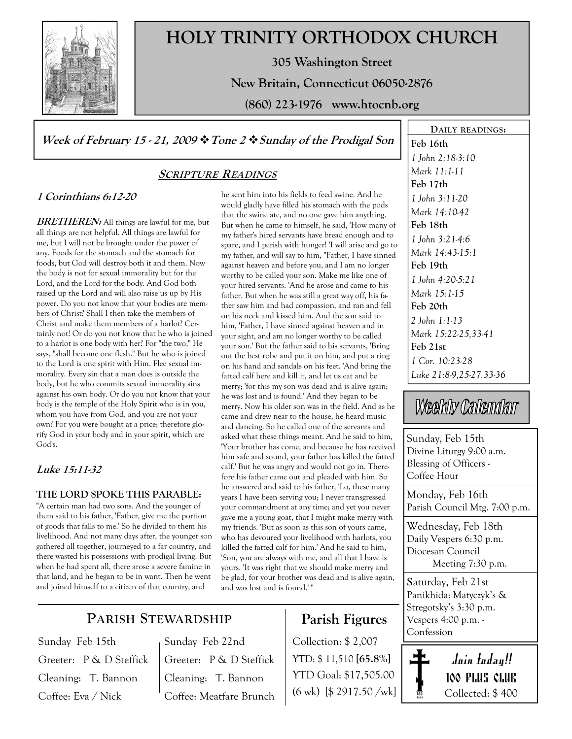

# HOLY TRINITY ORTHODOX CHURCH

305 Washington Street

New Britain, Connecticut 06050-2876

(860) 223-1976 www.htocnb.org

### Week of February 15 - 21, 2009  $\cdot \cdot$  Tone 2  $\cdot \cdot$  Sunday of the Prodigal Son

### SCRIPTURE READINGS

### 1 Corinthians 6:12-20

**BRETHEREN:** All things are lawful for me, but all things are not helpful. All things are lawful for me, but I will not be brought under the power of any. Foods for the stomach and the stomach for foods, but God will destroy both it and them. Now the body is not for sexual immorality but for the Lord, and the Lord for the body. And God both raised up the Lord and will also raise us up by His power. Do you not know that your bodies are members of Christ? Shall I then take the members of Christ and make them members of a harlot? Certainly not! Or do you not know that he who is joined to a harlot is one body with her? For "the two," He says, "shall become one flesh." But he who is joined to the Lord is one spirit with Him. Flee sexual immorality. Every sin that a man does is outside the body, but he who commits sexual immorality sins against his own body. Or do you not know that your body is the temple of the Holy Spirit who is in you, whom you have from God, and you are not your own? For you were bought at a price; therefore glorify God in your body and in your spirit, which are God's.

### Luke 15:11-32

#### THE LORD SPOKE THIS PARABLE:

"A certain man had two sons. And the younger of them said to his father, 'Father, give me the portion of goods that falls to me.' So he divided to them his livelihood. And not many days after, the younger son gathered all together, journeyed to a far country, and there wasted his possessions with prodigal living. But when he had spent all, there arose a severe famine in that land, and he began to be in want. Then he went and joined himself to a citizen of that country, and

he sent him into his fields to feed swine. And he would gladly have filled his stomach with the pods that the swine ate, and no one gave him anything. But when he came to himself, he said, 'How many of my father's hired servants have bread enough and to spare, and I perish with hunger! 'I will arise and go to my father, and will say to him, "Father, I have sinned against heaven and before you, and I am no longer worthy to be called your son. Make me like one of your hired servants. 'And he arose and came to his father. But when he was still a great way off, his father saw him and had compassion, and ran and fell on his neck and kissed him. And the son said to him, 'Father, I have sinned against heaven and in your sight, and am no longer worthy to be called your son.' But the father said to his servants, 'Bring out the best robe and put it on him, and put a ring on his hand and sandals on his feet. 'And bring the fatted calf here and kill it, and let us eat and be merry; 'for this my son was dead and is alive again; he was lost and is found.' And they began to be merry. Now his older son was in the field. And as he came and drew near to the house, he heard music and dancing. So he called one of the servants and asked what these things meant. And he said to him, 'Your brother has come, and because he has received him safe and sound, your father has killed the fatted calf.' But he was angry and would not go in. Therefore his father came out and pleaded with him. So he answered and said to his father, 'Lo, these many years I have been serving you; I never transgressed your commandment at any time; and yet you never gave me a young goat, that I might make merry with my friends. 'But as soon as this son of yours came, who has devoured your livelihood with harlots, you killed the fatted calf for him.' And he said to him, 'Son, you are always with me, and all that I have is yours. 'It was right that we should make merry and be glad, for your brother was dead and is alive again, and was lost and is found.' "

## PARISH STEWARDSHIP

Sunday Feb 15th Greeter: P & D Steffick Cleaning: T. Bannon Coffee: Eva / Nick

Sunday Feb 22nd Greeter: P & D Steffick Cleaning: T. Bannon Coffee: Meatfare Brunch

## Parish Figures

Collection: \$ 2,007 YTD: \$ 11,510 [65.8%] YTD Goal: \$17,505.00 (6 wk) [\$ 2917.50 /wk]

DAILY READINGS: Feb 16th 1 John 2:18-3:10 Mark 11:1-11 Feb 17th 1 John 3:11-20 Mark 14:10-42 Feb 18th 1 John 3:21-4:6 Mark 14:43-15:1 Feb 19th 1 John 4:20-5:21 Mark 15:1-15 Feb 20th 2 John 1:1-13 Mark 15:22-25,33-41 Feb 21st 1 Cor. 10:23-28 Luke 21:8-9,25-27,33-36

# Weekly Calendar

Sunday, Feb 15th Divine Liturgy 9:00 a.m. Blessing of Officers - Coffee Hour

Monday, Feb 16th Parish Council Mtg. 7:00 p.m.

Wednesday, Feb 18th Daily Vespers 6:30 p.m. Diocesan Council Meeting 7:30 p.m.

Saturday, Feb 21st Panikhida: Matyczyk's & Stregotsky's 3:30 p.m. Vespers 4:00 p.m. - Confession